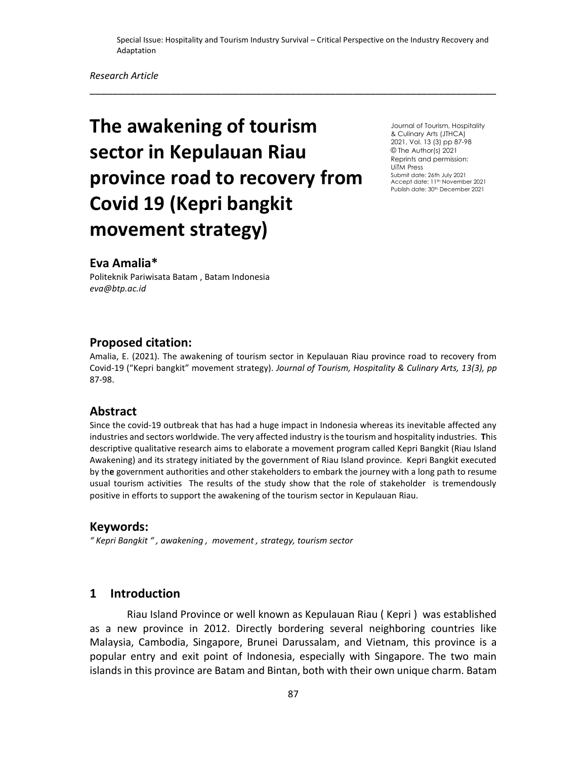\_\_\_\_\_\_\_\_\_\_\_\_\_\_\_\_\_\_\_\_\_\_\_\_\_\_\_\_\_\_\_\_\_\_\_\_\_\_\_\_\_\_\_\_\_\_\_\_\_\_\_\_\_\_\_\_\_\_\_\_\_\_\_\_\_\_\_\_\_\_\_

# **The awakening of tourism sector in Kepulauan Riau province road to recovery from Covid 19 (Kepri bangkit movement strategy)**

Journal of Tourism, Hospitality & Culinary Arts (JTHCA) 2021, Vol. 13 (3) pp 87-98 © The Author(s) 2021 Reprints and permission: UiTM Press Submit date: 26th July 2021 Accept date: 11<sup>th</sup> November 2021 Publish date: 30th December 2021

# **Eva Amalia\***

Politeknik Pariwisata Batam , Batam Indonesia *eva@btp.ac.id* 

## **Proposed citation:**

Amalia, E. (2021). The awakening of tourism sector in Kepulauan Riau province road to recovery from Covid-19 ("Kepri bangkit" movement strategy). *Journal of Tourism, Hospitality & Culinary Arts, 13(3), pp*  87-98.

# **Abstract**

Since the covid-19 outbreak that has had a huge impact in Indonesia whereas its inevitable affected any industries and sectors worldwide. The very affected industry is the tourism and hospitality industries. **T**his descriptive qualitative research aims to elaborate a movement program called Kepri Bangkit (Riau Island Awakening) and its strategy initiated by the government of Riau Island province. Kepri Bangkit executed by th**e** government authorities and other stakeholders to embark the journey with a long path to resume usual tourism activities The results of the study show that the role of stakeholder is tremendously positive in efforts to support the awakening of the tourism sector in Kepulauan Riau.

#### **Keywords:**

*" Kepri Bangkit " , awakening , movement , strategy, tourism sector*

## **1 Introduction**

 Riau Island Province or well known as Kepulauan Riau ( Kepri ) was established as a new province in 2012. Directly bordering several neighboring countries like Malaysia, Cambodia, Singapore, Brunei Darussalam, and Vietnam, this province is a popular entry and exit point of Indonesia, especially with Singapore. The two main islands in this province are Batam and Bintan, both with their own unique charm. Batam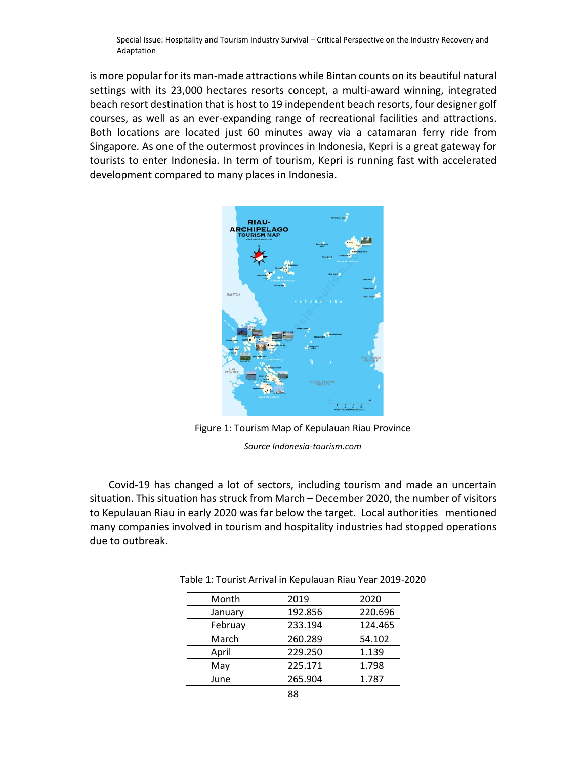is more popular for its man-made attractions while Bintan counts on its beautiful natural settings with its 23,000 hectares resorts concept, a multi-award winning, integrated beach resort destination that is host to 19 independent beach resorts, four designer golf courses, as well as an ever-expanding range of recreational facilities and attractions. Both locations are located just 60 minutes away via a catamaran ferry ride from Singapore. As one of the outermost provinces in Indonesia, Kepri is a great gateway for tourists to enter Indonesia. In term of tourism, Kepri is running fast with accelerated development compared to many places in Indonesia.



Figure 1: Tourism Map of Kepulauan Riau Province *Source Indonesia-tourism.com*

Covid-19 has changed a lot of sectors, including tourism and made an uncertain situation. This situation has struck from March – December 2020, the number of visitors to Kepulauan Riau in early 2020 was far below the target. Local authorities mentioned many companies involved in tourism and hospitality industries had stopped operations due to outbreak.

| Month   | 2019    | 2020    |
|---------|---------|---------|
| January | 192.856 | 220.696 |
| Februay | 233.194 | 124.465 |
| March   | 260.289 | 54.102  |
| April   | 229.250 | 1.139   |
| May     | 225.171 | 1.798   |
| June    | 265.904 | 1.787   |
|         |         |         |

Table 1: Tourist Arrival in Kepulauan Riau Year 2019-2020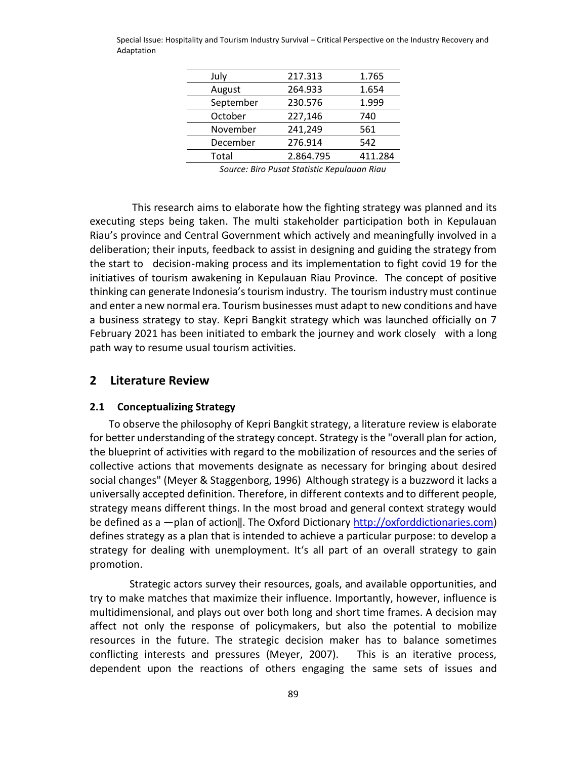| July      | 217.313   | 1.765   |
|-----------|-----------|---------|
| August    | 264.933   | 1.654   |
| September | 230.576   | 1.999   |
| October   | 227,146   | 740     |
| November  | 241,249   | 561     |
| December  | 276.914   | 542     |
| Total     | 2.864.795 | 411.284 |

*Source: Biro Pusat Statistic Kepulauan Riau*

 This research aims to elaborate how the fighting strategy was planned and its executing steps being taken. The multi stakeholder participation both in Kepulauan Riau's province and Central Government which actively and meaningfully involved in a deliberation; their inputs, feedback to assist in designing and guiding the strategy from the start to decision-making process and its implementation to fight covid 19 for the initiatives of tourism awakening in Kepulauan Riau Province. The concept of positive thinking can generate Indonesia's tourism industry. The tourism industry must continue and enter a new normal era. Tourism businesses must adapt to new conditions and have a business strategy to stay. Kepri Bangkit strategy which was launched officially on 7 February 2021 has been initiated to embark the journey and work closely with a long path way to resume usual tourism activities.

## **2 Literature Review**

#### **2.1 Conceptualizing Strategy**

To observe the philosophy of Kepri Bangkit strategy, a literature review is elaborate for better understanding of the strategy concept. Strategy is the "overall plan for action, the blueprint of activities with regard to the mobilization of resources and the series of collective actions that movements designate as necessary for bringing about desired social changes" (Meyer & Staggenborg, 1996) Although strategy is a buzzword it lacks a universally accepted definition. Therefore, in different contexts and to different people, strategy means different things. In the most broad and general context strategy would be defined as a —plan of action||. The Oxford Dictionary [http://oxforddictionaries.com\)](http://oxforddictionaries.com/) defines strategy as a plan that is intended to achieve a particular purpose: to develop a strategy for dealing with unemployment. It's all part of an overall strategy to gain promotion.

 Strategic actors survey their resources, goals, and available opportunities, and try to make matches that maximize their influence. Importantly, however, influence is multidimensional, and plays out over both long and short time frames. A decision may affect not only the response of policymakers, but also the potential to mobilize resources in the future. The strategic decision maker has to balance sometimes conflicting interests and pressures (Meyer, 2007). This is an iterative process, dependent upon the reactions of others engaging the same sets of issues and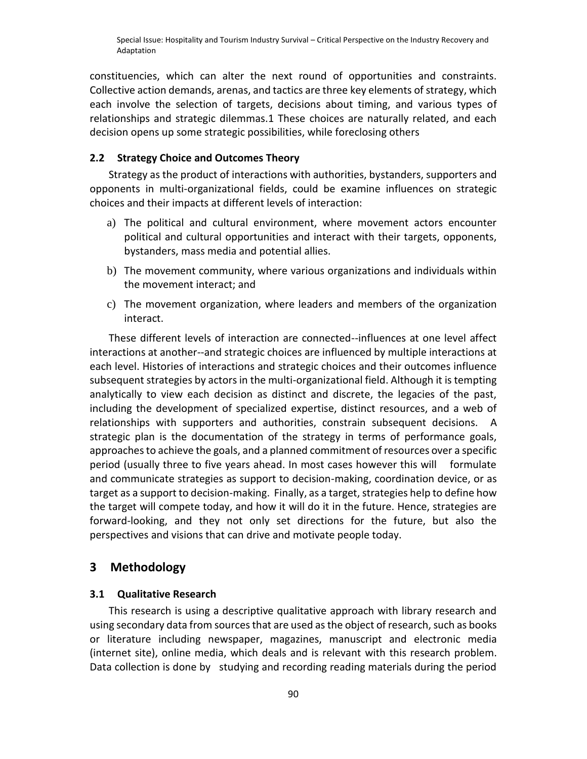constituencies, which can alter the next round of opportunities and constraints. Collective action demands, arenas, and tactics are three key elements of strategy, which each involve the selection of targets, decisions about timing, and various types of relationships and strategic dilemmas.1 These choices are naturally related, and each decision opens up some strategic possibilities, while foreclosing others

# **2.2 Strategy Choice and Outcomes Theory**

Strategy as the product of interactions with authorities, bystanders, supporters and opponents in multi-organizational fields, could be examine influences on strategic choices and their impacts at different levels of interaction:

- a) The political and cultural environment, where movement actors encounter political and cultural opportunities and interact with their targets, opponents, bystanders, mass media and potential allies.
- b) The movement community, where various organizations and individuals within the movement interact; and
- c) The movement organization, where leaders and members of the organization interact.

These different levels of interaction are connected--influences at one level affect interactions at another--and strategic choices are influenced by multiple interactions at each level. Histories of interactions and strategic choices and their outcomes influence subsequent strategies by actors in the multi-organizational field. Although it is tempting analytically to view each decision as distinct and discrete, the legacies of the past, including the development of specialized expertise, distinct resources, and a web of relationships with supporters and authorities, constrain subsequent decisions. A strategic plan is the documentation of the strategy in terms of performance goals, approaches to achieve the goals, and a planned commitment of resources over a specific period (usually three to five years ahead. In most cases however this will formulate and communicate strategies as support to decision-making, coordination device, or as target as a support to decision-making. Finally, as a target, strategies help to define how the target will compete today, and how it will do it in the future. Hence, strategies are forward-looking, and they not only set directions for the future, but also the perspectives and visions that can drive and motivate people today.

## **3 Methodology**

#### **3.1 Qualitative Research**

This research is using a descriptive qualitative approach with library research and using secondary data from sources that are used as the object of research, such as books or literature including newspaper, magazines, manuscript and electronic media (internet site), online media, which deals and is relevant with this research problem. Data collection is done by studying and recording reading materials during the period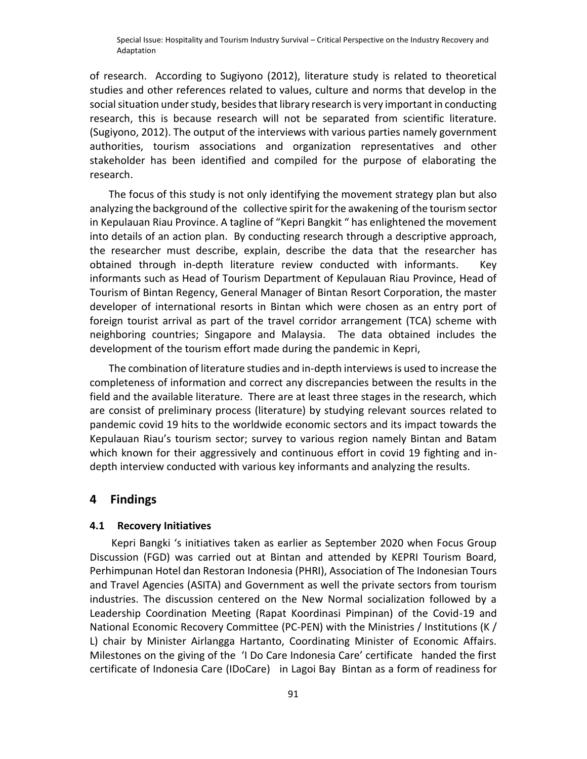of research. According to Sugiyono (2012), literature study is related to theoretical studies and other references related to values, culture and norms that develop in the social situation under study, besides that library research is very important in conducting research, this is because research will not be separated from scientific literature. (Sugiyono, 2012). The output of the interviews with various parties namely government authorities, tourism associations and organization representatives and other stakeholder has been identified and compiled for the purpose of elaborating the research.

The focus of this study is not only identifying the movement strategy plan but also analyzing the background of the collective spirit for the awakening of the tourism sector in Kepulauan Riau Province. A tagline of "Kepri Bangkit " has enlightened the movement into details of an action plan. By conducting research through a descriptive approach, the researcher must describe, explain, describe the data that the researcher has obtained through in-depth literature review conducted with informants. Key informants such as Head of Tourism Department of Kepulauan Riau Province, Head of Tourism of Bintan Regency, General Manager of Bintan Resort Corporation, the master developer of international resorts in Bintan which were chosen as an entry port of foreign tourist arrival as part of the travel corridor arrangement (TCA) scheme with neighboring countries; Singapore and Malaysia. The data obtained includes the development of the tourism effort made during the pandemic in Kepri,

The combination of literature studies and in-depth interviews is used to increase the completeness of information and correct any discrepancies between the results in the field and the available literature. There are at least three stages in the research, which are consist of preliminary process (literature) by studying relevant sources related to pandemic covid 19 hits to the worldwide economic sectors and its impact towards the Kepulauan Riau's tourism sector; survey to various region namely Bintan and Batam which known for their aggressively and continuous effort in covid 19 fighting and indepth interview conducted with various key informants and analyzing the results.

## **4 Findings**

#### **4.1 Recovery Initiatives**

Kepri Bangki 's initiatives taken as earlier as September 2020 when Focus Group Discussion (FGD) was carried out at Bintan and attended by KEPRI Tourism Board, Perhimpunan Hotel dan Restoran Indonesia (PHRI), Association of The Indonesian Tours and Travel Agencies (ASITA) and Government as well the private sectors from tourism industries. The discussion centered on the New Normal socialization followed by a Leadership Coordination Meeting (Rapat Koordinasi Pimpinan) of the Covid-19 and National Economic Recovery Committee (PC-PEN) with the Ministries / Institutions (K / L) chair by Minister Airlangga Hartanto, Coordinating Minister of Economic Affairs. Milestones on the giving of the 'I Do Care Indonesia Care' certificate handed the first certificate of Indonesia Care (IDoCare) in Lagoi Bay Bintan as a form of readiness for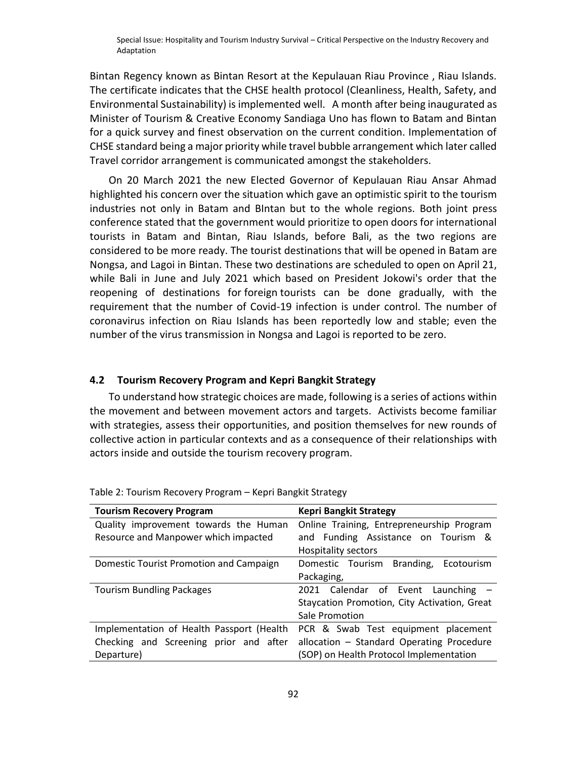Bintan Regency known as Bintan Resort at the Kepulauan Riau Province , Riau Islands. The certificate indicates that the CHSE health protocol (Cleanliness, Health, Safety, and Environmental Sustainability) is implemented well. A month after being inaugurated as Minister of Tourism & Creative Economy Sandiaga Uno has flown to Batam and Bintan for a quick survey and finest observation on the current condition. Implementation of CHSE standard being a major priority while travel bubble arrangement which later called Travel corridor arrangement is communicated amongst the stakeholders.

On 20 March 2021 the new Elected Governor of Kepulauan Riau Ansar Ahmad highlighted his concern over the situation which gave an optimistic spirit to the tourism industries not only in Batam and BIntan but to the whole regions. Both joint press conference stated that the government would prioritize to open doors for international tourists in Batam and Bintan, Riau Islands, before Bali, as the two regions are considered to be more ready. The tourist destinations that will be opened in Batam are Nongsa, and Lagoi in Bintan. These two destinations are scheduled to open on April 21, while Bali in June and July 2021 which based on President Jokowi's order that the reopening of destinations for foreign tourists can be done gradually, with the requirement that the number of Covid-19 infection is under control. The number of coronavirus infection on Riau Islands has been reportedly low and stable; even the number of the virus transmission in Nongsa and Lagoi is reported to be zero.

#### **4.2 Tourism Recovery Program and Kepri Bangkit Strategy**

To understand how strategic choices are made, following is a series of actions within the movement and between movement actors and targets. Activists become familiar with strategies, assess their opportunities, and position themselves for new rounds of collective action in particular contexts and as a consequence of their relationships with actors inside and outside the tourism recovery program.

| <b>Tourism Recovery Program</b>           | <b>Kepri Bangkit Strategy</b>                |
|-------------------------------------------|----------------------------------------------|
| Quality improvement towards the Human     | Online Training, Entrepreneurship Program    |
| Resource and Manpower which impacted      | and Funding Assistance on Tourism &          |
|                                           | <b>Hospitality sectors</b>                   |
| Domestic Tourist Promotion and Campaign   | Domestic Tourism Branding, Ecotourism        |
|                                           | Packaging,                                   |
| <b>Tourism Bundling Packages</b>          | 2021 Calendar of Event Launching -           |
|                                           | Staycation Promotion, City Activation, Great |
|                                           | Sale Promotion                               |
| Implementation of Health Passport (Health | PCR & Swab Test equipment placement          |
| Checking and Screening prior and after    | allocation - Standard Operating Procedure    |
| Departure)                                | (SOP) on Health Protocol Implementation      |

Table 2: Tourism Recovery Program – Kepri Bangkit Strategy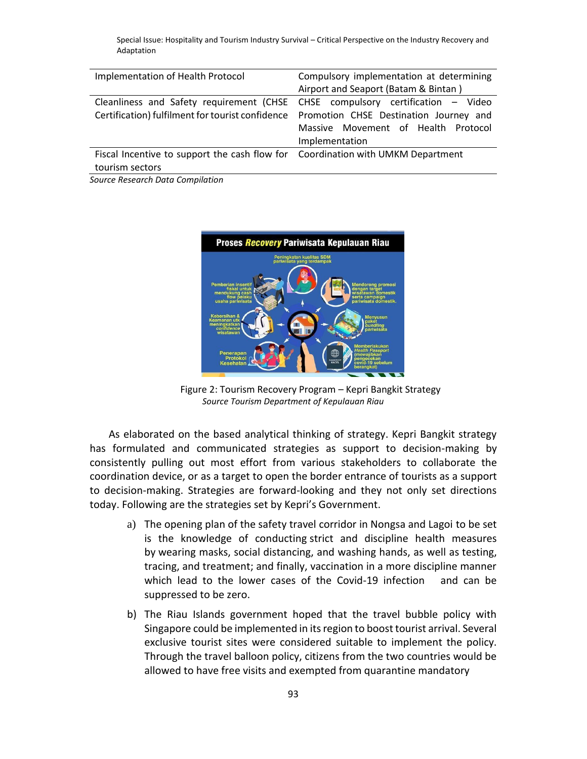| Implementation of Health Protocol                                               | Compulsory implementation at determining                                                |
|---------------------------------------------------------------------------------|-----------------------------------------------------------------------------------------|
|                                                                                 | Airport and Seaport (Batam & Bintan)                                                    |
|                                                                                 | Cleanliness and Safety requirement (CHSE CHSE compulsory certification - Video          |
|                                                                                 | Certification) fulfilment for tourist confidence Promotion CHSE Destination Journey and |
|                                                                                 | Massive Movement of Health Protocol                                                     |
|                                                                                 | Implementation                                                                          |
| Fiscal Incentive to support the cash flow for Coordination with UMKM Department |                                                                                         |
| tourism sectors                                                                 |                                                                                         |
|                                                                                 |                                                                                         |

*Source Research Data Compilation*



Figure 2: Tourism Recovery Program – Kepri Bangkit Strategy *Source Tourism Department of Kepulauan Riau*

As elaborated on the based analytical thinking of strategy. Kepri Bangkit strategy has formulated and communicated strategies as support to decision-making by consistently pulling out most effort from various stakeholders to collaborate the coordination device, or as a target to open the border entrance of tourists as a support to decision-making. Strategies are forward-looking and they not only set directions today. Following are the strategies set by Kepri's Government.

- a) The opening plan of the safety travel corridor in Nongsa and Lagoi to be set is the knowledge of conducting strict and discipline health measures by wearing masks, social distancing, and washing hands, as well as testing, tracing, and treatment; and finally, vaccination in a more discipline manner which lead to the lower cases of the Covid-19 infection and can be suppressed to be zero.
- b) The Riau Islands government hoped that the travel bubble policy with Singapore could be implemented in its region to boost tourist arrival. Several exclusive tourist sites were considered suitable to implement the policy. Through the travel balloon policy, citizens from the two countries would be allowed to have free visits and exempted from quarantine mandatory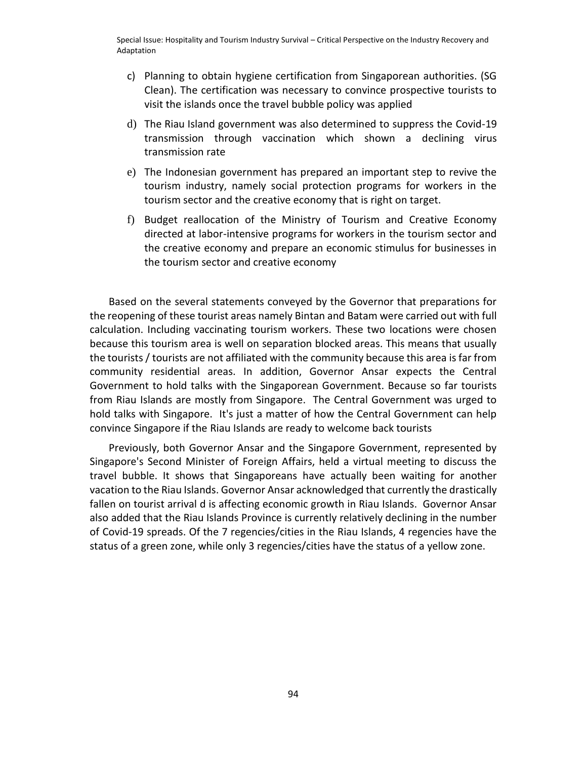- c) Planning to obtain hygiene certification from Singaporean authorities. (SG Clean). The certification was necessary to convince prospective tourists to visit the islands once the travel bubble policy was applied
- d) The Riau Island government was also determined to suppress the Covid-19 transmission through vaccination which shown a declining virus transmission rate
- e) The Indonesian government has prepared an important step to revive the tourism industry, namely social protection programs for workers in the tourism sector and the creative economy that is right on target.
- f) Budget reallocation of the Ministry of Tourism and Creative Economy directed at labor-intensive programs for workers in the tourism sector and the creative economy and prepare an economic stimulus for businesses in the tourism sector and creative economy

Based on the several statements conveyed by the Governor that preparations for the reopening of these tourist areas namely Bintan and Batam were carried out with full calculation. Including vaccinating tourism workers. These two locations were chosen because this tourism area is well on separation blocked areas. This means that usually the tourists / tourists are not affiliated with the community because this area is far from community residential areas. In addition, Governor Ansar expects the Central Government to hold talks with the Singaporean Government. Because so far tourists from Riau Islands are mostly from Singapore. The Central Government was urged to hold talks with Singapore. It's just a matter of how the Central Government can help convince Singapore if the Riau Islands are ready to welcome back tourists

Previously, both Governor Ansar and the Singapore Government, represented by Singapore's Second Minister of Foreign Affairs, held a virtual meeting to discuss the travel bubble. It shows that Singaporeans have actually been waiting for another vacation to the Riau Islands. Governor Ansar acknowledged that currently the drastically fallen on tourist arrival d is affecting economic growth in Riau Islands. Governor Ansar also added that the Riau Islands Province is currently relatively declining in the number of Covid-19 spreads. Of the 7 regencies/cities in the Riau Islands, 4 regencies have the status of a green zone, while only 3 regencies/cities have the status of a yellow zone.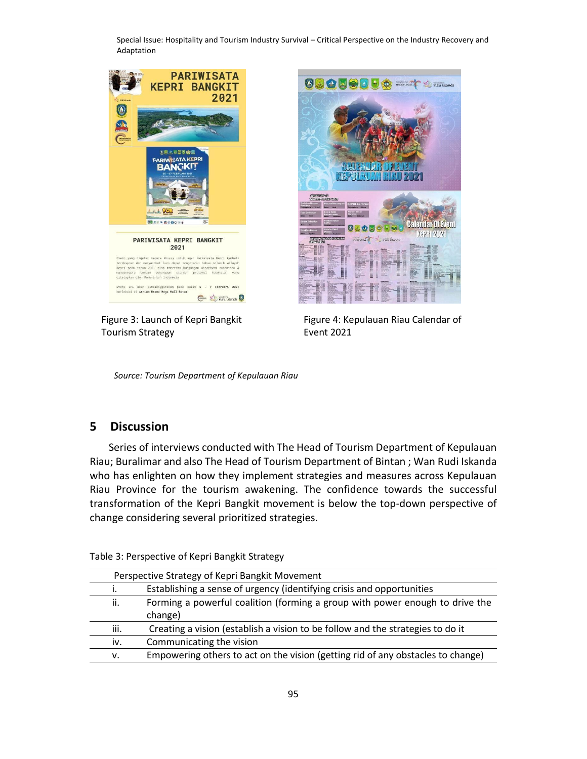

Figure 3: Launch of Kepri Bangkit Tourism Strategy



Figure 4: Kepulauan Riau Calendar of Event 2021

*Source: Tourism Department of Kepulauan Riau*

# **5 Discussion**

Series of interviews conducted with The Head of Tourism Department of Kepulauan Riau; Buralimar and also The Head of Tourism Department of Bintan ; Wan Rudi Iskanda who has enlighten on how they implement strategies and measures across Kepulauan Riau Province for the tourism awakening. The confidence towards the successful transformation of the Kepri Bangkit movement is below the top-down perspective of change considering several prioritized strategies.

| Perspective Strategy of Kepri Bangkit Movement |                                                                                 |
|------------------------------------------------|---------------------------------------------------------------------------------|
| ۱.                                             | Establishing a sense of urgency (identifying crisis and opportunities           |
| ii.                                            | Forming a powerful coalition (forming a group with power enough to drive the    |
|                                                | change)                                                                         |
| iii.                                           | Creating a vision (establish a vision to be follow and the strategies to do it  |
| iv.                                            | Communicating the vision                                                        |
| v.                                             | Empowering others to act on the vision (getting rid of any obstacles to change) |

Table 3: Perspective of Kepri Bangkit Strategy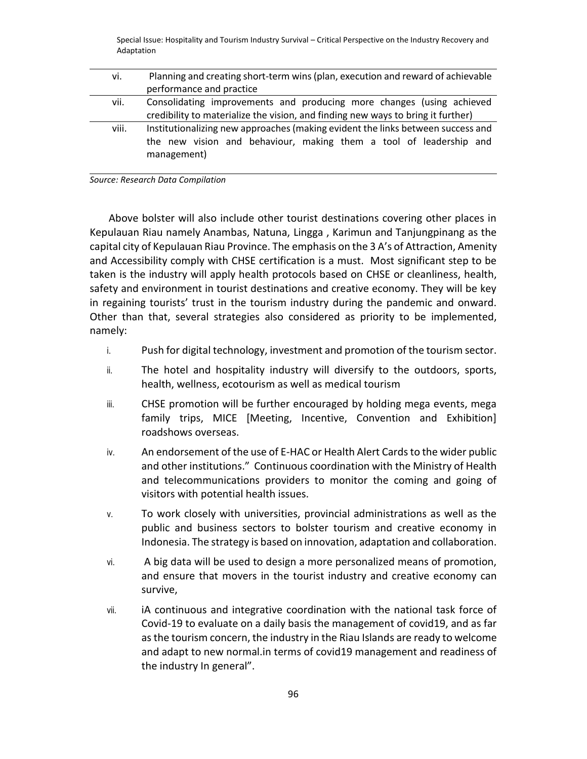| vi.   | Planning and creating short-term wins (plan, execution and reward of achievable  |
|-------|----------------------------------------------------------------------------------|
|       | performance and practice                                                         |
| vii.  | Consolidating improvements and producing more changes (using achieved            |
|       | credibility to materialize the vision, and finding new ways to bring it further) |
| viii. | Institutionalizing new approaches (making evident the links between success and  |
|       | the new vision and behaviour, making them a tool of leadership and               |
|       | management)                                                                      |
|       |                                                                                  |

*Source: Research Data Compilation*

Above bolster will also include other tourist destinations covering other places in Kepulauan Riau namely Anambas, Natuna, Lingga , Karimun and Tanjungpinang as the capital city of Kepulauan Riau Province. The emphasis on the 3 A's of Attraction, Amenity and Accessibility comply with CHSE certification is a must. Most significant step to be taken is the industry will apply health protocols based on CHSE or cleanliness, health, safety and environment in tourist destinations and creative economy. They will be key in regaining tourists' trust in the tourism industry during the pandemic and onward. Other than that, several strategies also considered as priority to be implemented, namely:

- i. Push for digital technology, investment and promotion of the tourism sector.
- ii. The hotel and hospitality industry will diversify to the outdoors, sports, health, wellness, ecotourism as well as medical tourism
- iii. CHSE promotion will be further encouraged by holding mega events, mega family trips, MICE [Meeting, Incentive, Convention and Exhibition] roadshows overseas.
- iv. An endorsement of the use of E-HAC or Health Alert Cards to the wider public and other institutions." Continuous coordination with the Ministry of Health and telecommunications providers to monitor the coming and going of visitors with potential health issues.
- v. To work closely with universities, provincial administrations as well as the public and business sectors to bolster tourism and creative economy in Indonesia. The strategy is based on innovation, adaptation and collaboration.
- vi. A big data will be used to design a more personalized means of promotion, and ensure that movers in the tourist industry and creative economy can survive,
- vii. iA continuous and integrative coordination with the national task force of Covid-19 to evaluate on a daily basis the management of covid19, and as far as the tourism concern, the industry in the Riau Islands are ready to welcome and adapt to new normal.in terms of covid19 management and readiness of the industry In general".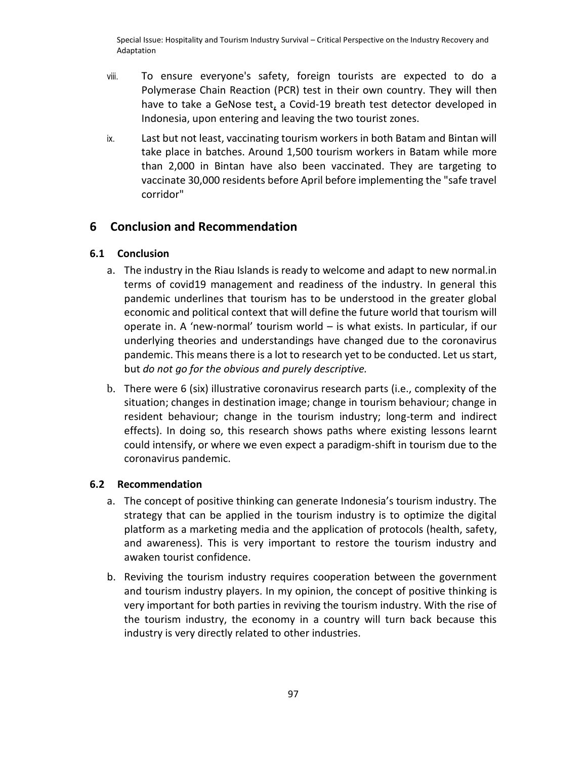- viii. To ensure everyone's safety, foreign tourists are expected to do a Polymerase Chain Reaction (PCR) test in their own country. They will then have to take a GeNose test, a Covid-19 breath test detector developed in Indonesia, upon entering and leaving the two tourist zones.
- ix. Last but not least, vaccinating tourism workers in both Batam and Bintan will take place in batches. Around 1,500 tourism workers in Batam while more than 2,000 in Bintan have also been vaccinated. They are targeting to vaccinate 30,000 residents before April before implementing the "safe travel corridor"

# **6 Conclusion and Recommendation**

# **6.1 Conclusion**

- a. The industry in the Riau Islands is ready to welcome and adapt to new normal.in terms of covid19 management and readiness of the industry. In general this pandemic underlines that tourism has to be understood in the greater global economic and political context that will define the future world that tourism will operate in. A 'new-normal' tourism world – is what exists. In particular, if our underlying theories and understandings have changed due to the coronavirus pandemic. This means there is a lot to research yet to be conducted. Let us start, but *do not go for the obvious and purely descriptive.*
- b. There were 6 (six) illustrative coronavirus research parts (i.e., complexity of the situation; changes in destination image; change in tourism behaviour; change in resident behaviour; change in the tourism industry; long-term and indirect effects). In doing so, this research shows paths where existing lessons learnt could intensify, or where we even expect a paradigm-shift in tourism due to the coronavirus pandemic.

# **6.2 Recommendation**

- a. The concept of positive thinking can generate Indonesia's tourism industry. The strategy that can be applied in the tourism industry is to optimize the digital platform as a marketing media and the application of protocols (health, safety, and awareness). This is very important to restore the tourism industry and awaken tourist confidence.
- b. Reviving the tourism industry requires cooperation between the government and tourism industry players. In my opinion, the concept of positive thinking is very important for both parties in reviving the tourism industry. With the rise of the tourism industry, the economy in a country will turn back because this industry is very directly related to other industries.